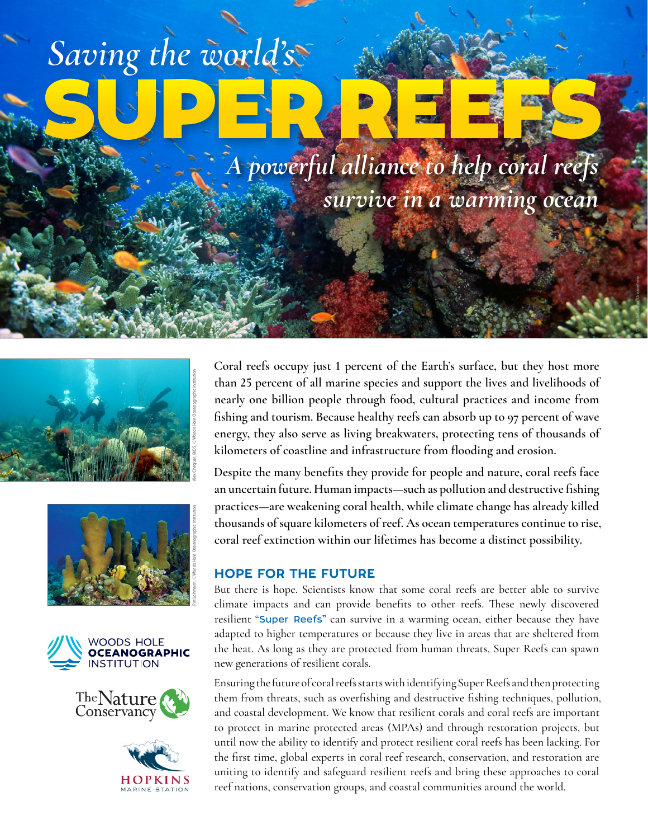# SUPER REEFS *Saving the world's*

*A powerful alliance to help coral reefs survive in a warming ocean*

©John Anderson, Dreamstime











**Coral reefs occupy just 1 percent of the Earth's surface, but they host more than 25 percent of all marine species and support the lives and livelihoods of nearly one billion people through food, cultural practices and income from fishing and tourism. Because healthy reefs can absorb up to 97 percent of wave energy, they also serve as living breakwaters, protecting tens of thousands of kilometers of coastline and infrastructure from flooding and erosion.**

**Despite the many benefits they provide for people and nature, coral reefs face an uncertain future. Human impacts—such as pollution and destructive fishing practices—are weakening coral health, while climate change has already killed thousands of square kilometers of reef. As ocean temperatures continue to rise, coral reef extinction within our lifetimes has become a distinct possibility.** 

### HOPE FOR THE FUTURE

But there is hope. Scientists know that some coral reefs are better able to survive climate impacts and can provide benefits to other reefs. These newly discovered resilient "[Super Reefs](https://superreefs.whoi.edu/)" can survive in a warming ocean, either because they have adapted to higher temperatures or because they live in areas that are sheltered from the heat. As long as they are protected from human threats, Super Reefs can spawn new generations of resilient corals.

Ensuring the future of coral reefs starts with identifying Super Reefs and then protecting them from threats, such as overfishing and destructive fishing techniques, pollution, and coastal development. We know that resilient corals and coral reefs are important to protect in marine protected areas (MPAs) and through restoration projects, but until now the ability to identify and protect resilient coral reefs has been lacking. For the first time, global experts in coral reef research, conservation, and restoration are uniting to identify and safeguard resilient reefs and bring these approaches to coral reef nations, conservation groups, and coastal communities around the world.